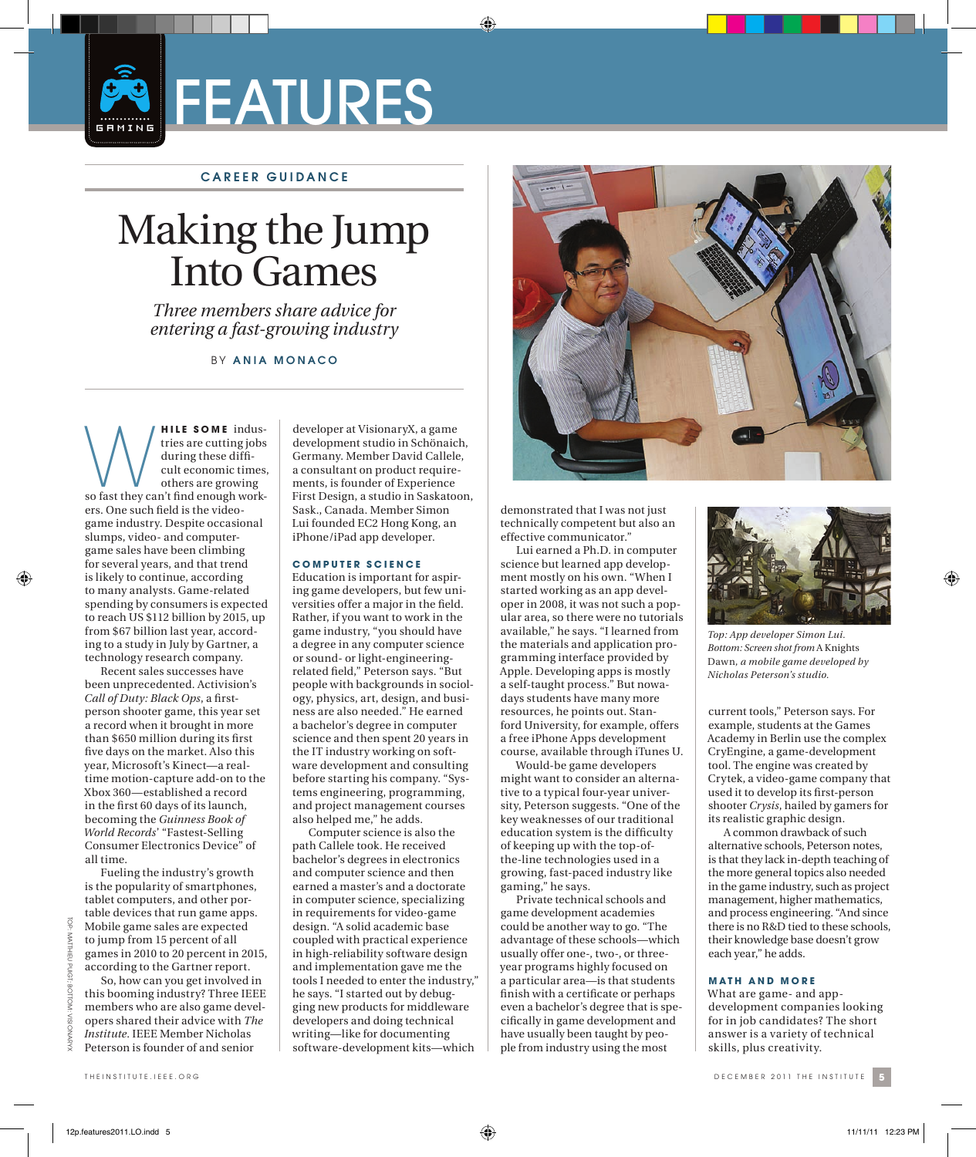

# CAREER GUIDANCE

# Making the Jump Into Games

*Three members share advice for entering a fast-growing industry*

# BY ANIA MONACO

**WHILE SOME** indus-<br>tries are cutting jobs<br>during these diffi-<br>cult economic times,<br>so fast they can't find enough worktries are cutting jobs during these difficult economic times, others are growing ers. One such field is the videogame industry. Despite occasional slumps, video- and computergame sales have been climbing for several years, and that trend is likely to continue, according to many analysts. Game-related spending by consumers is expected to reach US \$112 billion by 2015, up from \$67 billion last year, according to a study in July by Gartner, a technology research company.

Recent sales successes have been unprecedented. Activision's *Call of Duty: Black Ops, a first*person shooter game, this year set a record when it brought in more than \$650 million during its first five days on the market. Also this year, Microsoft's Kinect—a realtime motion-capture add-on to the Xbox 360—established a record in the first 60 days of its launch, becoming the *Guinness Book of World Records*' "Fastest-Selling Consumer Electronics Device" of all time. Fueling the industry's growth

to jump from 15 percent of all games in 2010 to 20 percent in 2015, according to the Gartner report. So, how can you get involved in this booming industry? Three IEEE members who are also game developers shared their advice with *The* 

is the popularity of smartphones, tablet computers, and other portable devices that run game apps. Mobile game sales are expected

*Institute*. IEEE Member Nicholas Peterson is founder of and senior

developer at VisionaryX, a game development studio in Schönaich, Germany. Member David Callele, a consultant on product requirements, is founder of Experience First Design, a studio in Saskatoon, Sask., Canada. Member Simon Lui founded EC2 Hong Kong, an iPhone/iPad app developer.

#### **C O M P U T E R S C I E N C E**

Education is important for aspiring game developers, but few universities offer a major in the field. Rather, if you want to work in the game industry, "you should have a degree in any computer science or sound- or light-engineeringrelated field," Peterson says. "But people with backgrounds in sociology, physics, art, design, and business are also needed." He earned a bachelor's degree in computer science and then spent 20 years in the IT industry working on software development and consulting before starting his company. "Systems engineering, programming, and project management courses also helped me," he adds.

Computer science is also the path Callele took. He received bachelor's degrees in electronics and computer science and then earned a master's and a doctorate in computer science, specializing in requirements for video-game design. "A solid academic base coupled with practical experience in high-reliability software design and implementation gave me the tools I needed to enter the industry," he says. "I started out by debugging new products for middleware developers and doing technical writing—like for documenting software- development kits—which



demonstrated that I was not just technically competent but also an effective communicator."

Lui earned a Ph.D. in computer science but learned app development mostly on his own. "When I started working as an app developer in 2008, it was not such a popular area, so there were no tutorials available," he says. "I learned from the materials and application programming interface provided by Apple. Developing apps is mostly a self-taught process." But nowadays students have many more resources, he points out. Stanford University, for example, offers a free iPhone Apps development course, available through iTunes U.

Would-be game developers might want to consider an alternative to a typical four-year university, Peterson suggests. "One of the key weaknesses of our traditional education system is the difficulty of keeping up with the top-ofthe-line technologies used in a growing, fast-paced industry like gaming," he says.

Private technical schools and game development academies could be another way to go. "The advantage of these schools—which usually offer one-, two-, or threeyear programs highly focused on a particular area—is that students finish with a certificate or perhaps even a bachelor's degree that is specifically in game development and have usually been taught by people from industry using the most



*Top: App developer Simon Lui. Bottom: Screen shot from* A Knights Dawn*, a mobile game developed by Nicholas Peterson's studio.*

current tools," Peterson says. For example, students at the Games Academy in Berlin use the complex CryEngine, a game-development tool. The engine was created by Crytek, a video-game company that used it to develop its first-person shooter *Crysis*, hailed by gamers for its realistic graphic design.

A common drawback of such alternative schools, Peterson notes, is that they lack in-depth teaching of the more general topics also needed in the game industry, such as project management, higher mathematics, and process engineering. "And since there is no R&D tied to these schools, their knowledge base doesn't grow each year," he adds.

## **MATH AND MORE**

What are game- and appdevelopment companies looking for in job candidates? The short answer is a variety of technical skills, plus creativity.